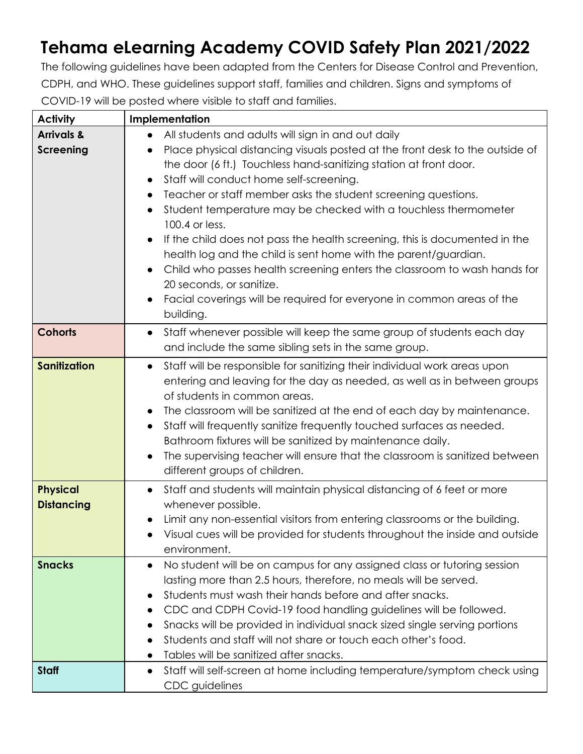## **Tehama eLearning Academy COVID Safety Plan 2021/2022**

The following guidelines have been adapted from the Centers for Disease Control and Prevention, CDPH, and WHO. These guidelines support staff, families and children. Signs and symptoms of COVID-19 will be posted where visible to staff and families.

| <b>Activity</b>                      | Implementation                                                                                                                                                                                                                                                                                                                                                                                                                                                                                                                                                                                                                                                                                    |
|--------------------------------------|---------------------------------------------------------------------------------------------------------------------------------------------------------------------------------------------------------------------------------------------------------------------------------------------------------------------------------------------------------------------------------------------------------------------------------------------------------------------------------------------------------------------------------------------------------------------------------------------------------------------------------------------------------------------------------------------------|
| <b>Arrivals &amp;</b>                | All students and adults will sign in and out daily<br>$\bullet$                                                                                                                                                                                                                                                                                                                                                                                                                                                                                                                                                                                                                                   |
| <b>Screening</b>                     | Place physical distancing visuals posted at the front desk to the outside of<br>the door (6 ft.) Touchless hand-sanitizing station at front door.<br>Staff will conduct home self-screening.<br>Teacher or staff member asks the student screening questions.<br>Student temperature may be checked with a touchless thermometer<br>100.4 or less.<br>If the child does not pass the health screening, this is documented in the<br>health log and the child is sent home with the parent/guardian.<br>Child who passes health screening enters the classroom to wash hands for<br>20 seconds, or sanitize.<br>Facial coverings will be required for everyone in common areas of the<br>building. |
| <b>Cohorts</b>                       | Staff whenever possible will keep the same group of students each day<br>$\bullet$<br>and include the same sibling sets in the same group.                                                                                                                                                                                                                                                                                                                                                                                                                                                                                                                                                        |
| <b>Sanitization</b>                  | Staff will be responsible for sanitizing their individual work areas upon<br>$\bullet$<br>entering and leaving for the day as needed, as well as in between groups<br>of students in common areas.<br>The classroom will be sanitized at the end of each day by maintenance.<br>Staff will frequently sanitize frequently touched surfaces as needed.<br>Bathroom fixtures will be sanitized by maintenance daily.<br>The supervising teacher will ensure that the classroom is sanitized between<br>different groups of children.                                                                                                                                                                |
| <b>Physical</b><br><b>Distancing</b> | Staff and students will maintain physical distancing of 6 feet or more<br>$\bullet$<br>whenever possible.<br>Limit any non-essential visitors from entering classrooms or the building.<br>• Visual cues will be provided for students throughout the inside and outside<br>environment.                                                                                                                                                                                                                                                                                                                                                                                                          |
| <b>Snacks</b>                        | No student will be on campus for any assigned class or tutoring session<br>$\bullet$<br>lasting more than 2.5 hours, therefore, no meals will be served.<br>Students must wash their hands before and after snacks.<br>CDC and CDPH Covid-19 food handling guidelines will be followed.<br>$\bullet$<br>Snacks will be provided in individual snack sized single serving portions<br>Students and staff will not share or touch each other's food.<br>Tables will be sanitized after snacks.                                                                                                                                                                                                      |
| <b>Staff</b>                         | Staff will self-screen at home including temperature/symptom check using<br>CDC guidelines                                                                                                                                                                                                                                                                                                                                                                                                                                                                                                                                                                                                        |